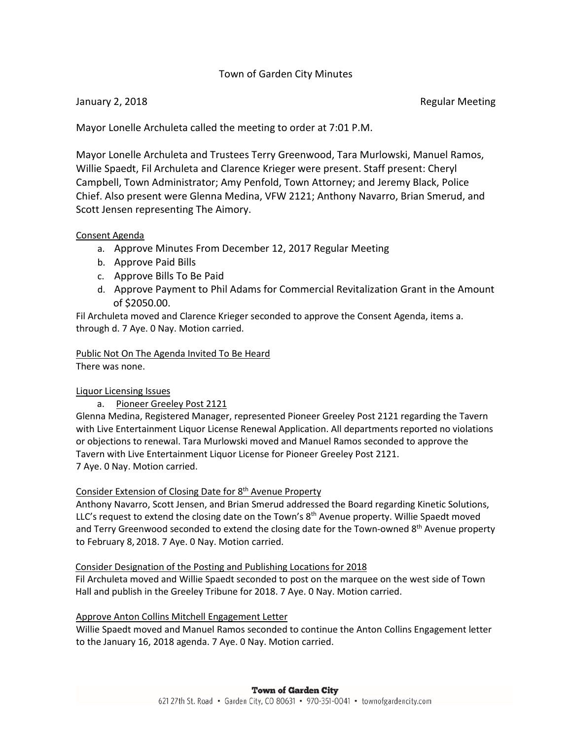# Town of Garden City Minutes

January 2, 2018 **Regular Meeting** 

Mayor Lonelle Archuleta called the meeting to order at 7:01 P.M.

Mayor Lonelle Archuleta and Trustees Terry Greenwood, Tara Murlowski, Manuel Ramos, Willie Spaedt, Fil Archuleta and Clarence Krieger were present. Staff present: Cheryl Campbell, Town Administrator; Amy Penfold, Town Attorney; and Jeremy Black, Police Chief. Also present were Glenna Medina, VFW 2121; Anthony Navarro, Brian Smerud, and Scott Jensen representing The Aimory.

## Consent Agenda

- a. Approve Minutes From December 12, 2017 Regular Meeting
- b. Approve Paid Bills
- c. Approve Bills To Be Paid
- d. Approve Payment to Phil Adams for Commercial Revitalization Grant in the Amount of \$2050.00.

Fil Archuleta moved and Clarence Krieger seconded to approve the Consent Agenda, items a. through d. 7 Aye. 0 Nay. Motion carried.

Public Not On The Agenda Invited To Be Heard

There was none.

## Liquor Licensing Issues

a. Pioneer Greeley Post 2121

Glenna Medina, Registered Manager, represented Pioneer Greeley Post 2121 regarding the Tavern with Live Entertainment Liquor License Renewal Application. All departments reported no violations or objections to renewal. Tara Murlowski moved and Manuel Ramos seconded to approve the Tavern with Live Entertainment Liquor License for Pioneer Greeley Post 2121. 7 Aye. 0 Nay. Motion carried.

## Consider Extension of Closing Date for 8<sup>th</sup> Avenue Property

Anthony Navarro, Scott Jensen, and Brian Smerud addressed the Board regarding Kinetic Solutions, LLC's request to extend the closing date on the Town's 8<sup>th</sup> Avenue property. Willie Spaedt moved and Terry Greenwood seconded to extend the closing date for the Town-owned 8<sup>th</sup> Avenue property to February 8, 2018. 7 Aye. 0 Nay. Motion carried.

## Consider Designation of the Posting and Publishing Locations for 2018

 Fil Archuleta moved and Willie Spaedt seconded to post on the marquee on the west side of Town Hall and publish in the Greeley Tribune for 2018. 7 Aye. 0 Nay. Motion carried.

## Approve Anton Collins Mitchell Engagement Letter

Willie Spaedt moved and Manuel Ramos seconded to continue the Anton Collins Engagement letter to the January 16, 2018 agenda. 7 Aye. 0 Nay. Motion carried.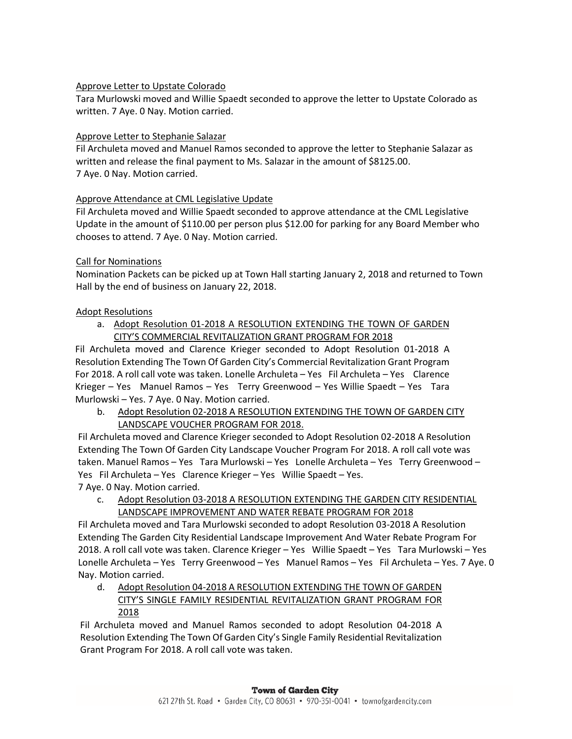### Approve Letter to Upstate Colorado

Tara Murlowski moved and Willie Spaedt seconded to approve the letter to Upstate Colorado as written. 7 Aye. 0 Nay. Motion carried.

#### Approve Letter to Stephanie Salazar

Fil Archuleta moved and Manuel Ramos seconded to approve the letter to Stephanie Salazar as written and release the final payment to Ms. Salazar in the amount of \$8125.00. 7 Aye. 0 Nay. Motion carried.

#### Approve Attendance at CML Legislative Update

Fil Archuleta moved and Willie Spaedt seconded to approve attendance at the CML Legislative Update in the amount of \$110.00 per person plus \$12.00 for parking for any Board Member who chooses to attend. 7 Aye. 0 Nay. Motion carried.

## Call for Nominations

Nomination Packets can be picked up at Town Hall starting January 2, 2018 and returned to Town Hall by the end of business on January 22, 2018.

#### Adopt Resolutions

a. Adopt Resolution 01-2018 A RESOLUTION EXTENDING THE TOWN OF GARDEN CITY'S COMMERCIAL REVITALIZATION GRANT PROGRAM FOR 2018

Fil Archuleta moved and Clarence Krieger seconded to Adopt Resolution 01-2018 A Resolution Extending The Town Of Garden City's Commercial Revitalization Grant Program For 2018. A roll call vote was taken. Lonelle Archuleta – Yes Fil Archuleta – Yes Clarence Krieger – Yes Manuel Ramos – Yes Terry Greenwood – Yes Willie Spaedt – Yes Tara Murlowski – Yes. 7 Aye. 0 Nay. Motion carried.

b. Adopt Resolution 02-2018 A RESOLUTION EXTENDING THE TOWN OF GARDEN CITY LANDSCAPE VOUCHER PROGRAM FOR 2018.

Fil Archuleta moved and Clarence Krieger seconded to Adopt Resolution 02-2018 A Resolution Extending The Town Of Garden City Landscape Voucher Program For 2018. A roll call vote was taken. Manuel Ramos – Yes Tara Murlowski – Yes Lonelle Archuleta – Yes Terry Greenwood – Yes Fil Archuleta – Yes Clarence Krieger – Yes Willie Spaedt – Yes. 7 Aye. 0 Nay. Motion carried.

c. Adopt Resolution 03-2018 A RESOLUTION EXTENDING THE GARDEN CITY RESIDENTIAL LANDSCAPE IMPROVEMENT AND WATER REBATE PROGRAM FOR 2018

Fil Archuleta moved and Tara Murlowski seconded to adopt Resolution 03-2018 A Resolution Extending The Garden City Residential Landscape Improvement And Water Rebate Program For 2018. A roll call vote was taken. Clarence Krieger – Yes Willie Spaedt – Yes Tara Murlowski – Yes Lonelle Archuleta – Yes Terry Greenwood – Yes Manuel Ramos – Yes Fil Archuleta – Yes. 7 Aye. 0 Nay. Motion carried.

d. Adopt Resolution 04-2018 A RESOLUTION EXTENDING THE TOWN OF GARDEN CITY'S SINGLE FAMILY RESIDENTIAL REVITALIZATION GRANT PROGRAM FOR 2018

Fil Archuleta moved and Manuel Ramos seconded to adopt Resolution 04-2018 A Resolution Extending The Town Of Garden City's Single Family Residential Revitalization Grant Program For 2018. A roll call vote was taken.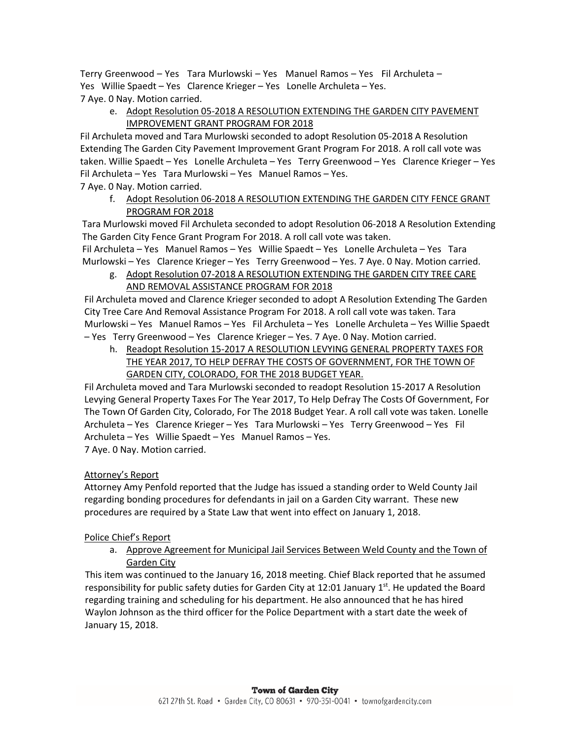Terry Greenwood – Yes Tara Murlowski – Yes Manuel Ramos – Yes Fil Archuleta – Yes Willie Spaedt – Yes Clarence Krieger – Yes Lonelle Archuleta – Yes. 7 Aye. 0 Nay. Motion carried.

e. Adopt Resolution 05-2018 A RESOLUTION EXTENDING THE GARDEN CITY PAVEMENT IMPROVEMENT GRANT PROGRAM FOR 2018

Fil Archuleta moved and Tara Murlowski seconded to adopt Resolution 05-2018 A Resolution Extending The Garden City Pavement Improvement Grant Program For 2018. A roll call vote was taken. Willie Spaedt – Yes Lonelle Archuleta – Yes Terry Greenwood – Yes Clarence Krieger – Yes Fil Archuleta – Yes Tara Murlowski – Yes Manuel Ramos – Yes.

7 Aye. 0 Nay. Motion carried.

f. Adopt Resolution 06-2018 A RESOLUTION EXTENDING THE GARDEN CITY FENCE GRANT PROGRAM FOR 2018

Tara Murlowski moved Fil Archuleta seconded to adopt Resolution 06-2018 A Resolution Extending The Garden City Fence Grant Program For 2018. A roll call vote was taken.

Fil Archuleta – Yes Manuel Ramos – Yes Willie Spaedt – Yes Lonelle Archuleta – Yes Tara Murlowski – Yes Clarence Krieger – Yes Terry Greenwood – Yes. 7 Aye. 0 Nay. Motion carried. g. Adopt Resolution 07-2018 A RESOLUTION EXTENDING THE GARDEN CITY TREE CARE

AND REMOVAL ASSISTANCE PROGRAM FOR 2018

Fil Archuleta moved and Clarence Krieger seconded to adopt A Resolution Extending The Garden City Tree Care And Removal Assistance Program For 2018. A roll call vote was taken. Tara Murlowski – Yes Manuel Ramos – Yes Fil Archuleta – Yes Lonelle Archuleta – Yes Willie Spaedt – Yes Terry Greenwood – Yes Clarence Krieger – Yes. 7 Aye. 0 Nay. Motion carried.

h. Readopt Resolution 15-2017 A RESOLUTION LEVYING GENERAL PROPERTY TAXES FOR THE YEAR 2017, TO HELP DEFRAY THE COSTS OF GOVERNMENT, FOR THE TOWN OF GARDEN CITY, COLORADO, FOR THE 2018 BUDGET YEAR.

Fil Archuleta moved and Tara Murlowski seconded to readopt Resolution 15-2017 A Resolution Levying General Property Taxes For The Year 2017, To Help Defray The Costs Of Government, For The Town Of Garden City, Colorado, For The 2018 Budget Year. A roll call vote was taken. Lonelle Archuleta – Yes Clarence Krieger – Yes Tara Murlowski – Yes Terry Greenwood – Yes Fil Archuleta – Yes Willie Spaedt – Yes Manuel Ramos – Yes. 7 Aye. 0 Nay. Motion carried.

## Attorney's Report

Attorney Amy Penfold reported that the Judge has issued a standing order to Weld County Jail regarding bonding procedures for defendants in jail on a Garden City warrant. These new procedures are required by a State Law that went into effect on January 1, 2018.

## Police Chief's Report

a. Approve Agreement for Municipal Jail Services Between Weld County and the Town of Garden City

This item was continued to the January 16, 2018 meeting. Chief Black reported that he assumed responsibility for public safety duties for Garden City at 12:01 January 1st. He updated the Board regarding training and scheduling for his department. He also announced that he has hired Waylon Johnson as the third officer for the Police Department with a start date the week of January 15, 2018.